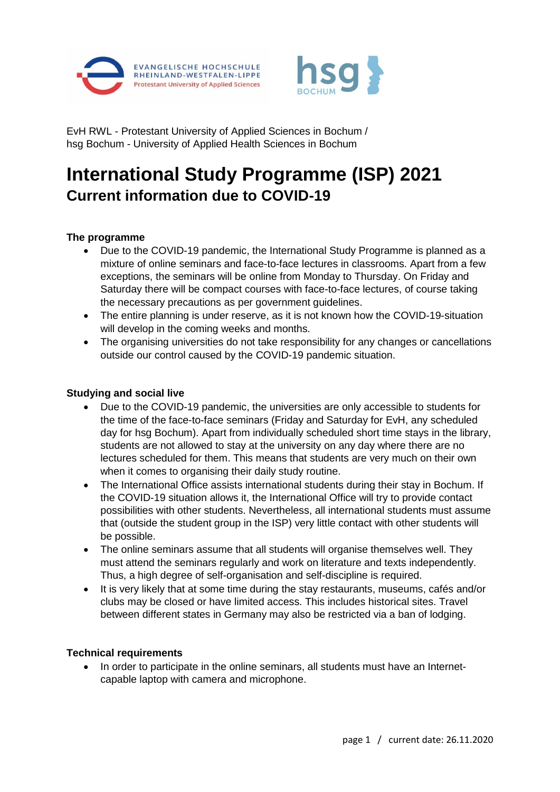



EvH RWL - Protestant University of Applied Sciences in Bochum / hsg Bochum - University of Applied Health Sciences in Bochum

# **International Study Programme (ISP) 2021 Current information due to COVID-19**

## **The programme**

- Due to the COVID-19 pandemic, the International Study Programme is planned as a mixture of online seminars and face-to-face lectures in classrooms. Apart from a few exceptions, the seminars will be online from Monday to Thursday. On Friday and Saturday there will be compact courses with face-to-face lectures, of course taking the necessary precautions as per government guidelines.
- The entire planning is under reserve, as it is not known how the COVID-19-situation will develop in the coming weeks and months.
- The organising universities do not take responsibility for any changes or cancellations outside our control caused by the COVID-19 pandemic situation.

#### **Studying and social live**

- Due to the COVID-19 pandemic, the universities are only accessible to students for the time of the face-to-face seminars (Friday and Saturday for EvH, any scheduled day for hsg Bochum). Apart from individually scheduled short time stays in the library, students are not allowed to stay at the university on any day where there are no lectures scheduled for them. This means that students are very much on their own when it comes to organising their daily study routine.
- The International Office assists international students during their stay in Bochum. If the COVID-19 situation allows it, the International Office will try to provide contact possibilities with other students. Nevertheless, all international students must assume that (outside the student group in the ISP) very little contact with other students will be possible.
- The online seminars assume that all students will organise themselves well. They must attend the seminars regularly and work on literature and texts independently. Thus, a high degree of self-organisation and self-discipline is required.
- It is very likely that at some time during the stay restaurants, museums, cafés and/or clubs may be closed or have limited access. This includes historical sites. Travel between different states in Germany may also be restricted via a ban of lodging.

### **Technical requirements**

• In order to participate in the online seminars, all students must have an Internetcapable laptop with camera and microphone.